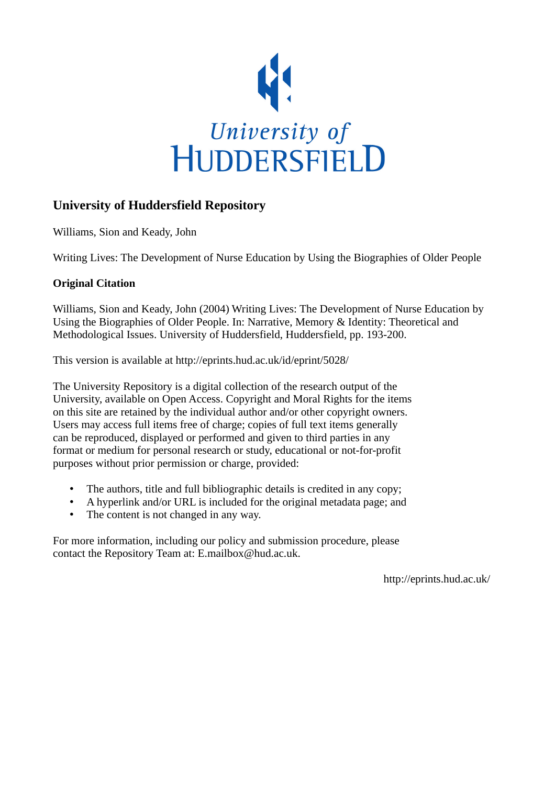

## **University of Huddersfield Repository**

Williams, Sion and Keady, John

Writing Lives: The Development of Nurse Education by Using the Biographies of Older People

### **Original Citation**

Williams, Sion and Keady, John (2004) Writing Lives: The Development of Nurse Education by Using the Biographies of Older People. In: Narrative, Memory & Identity: Theoretical and Methodological Issues. University of Huddersfield, Huddersfield, pp. 193-200.

This version is available at http://eprints.hud.ac.uk/id/eprint/5028/

The University Repository is a digital collection of the research output of the University, available on Open Access. Copyright and Moral Rights for the items on this site are retained by the individual author and/or other copyright owners. Users may access full items free of charge; copies of full text items generally can be reproduced, displayed or performed and given to third parties in any format or medium for personal research or study, educational or not-for-profit purposes without prior permission or charge, provided:

- The authors, title and full bibliographic details is credited in any copy;
- A hyperlink and/or URL is included for the original metadata page; and
- The content is not changed in any way.

For more information, including our policy and submission procedure, please contact the Repository Team at: E.mailbox@hud.ac.uk.

http://eprints.hud.ac.uk/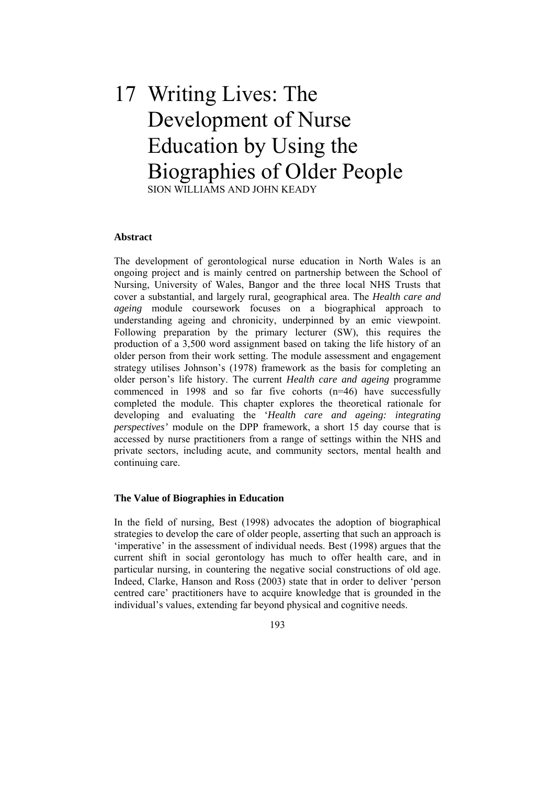# 17 Writing Lives: The Development of Nurse Education by Using the Biographies of Older People SION WILLIAMS AND JOHN KEADY

#### **Abstract**

The development of gerontological nurse education in North Wales is an ongoing project and is mainly centred on partnership between the School of Nursing, University of Wales, Bangor and the three local NHS Trusts that cover a substantial, and largely rural, geographical area. The *Health care and ageing* module coursework focuses on a biographical approach to understanding ageing and chronicity, underpinned by an emic viewpoint. Following preparation by the primary lecturer (SW), this requires the production of a 3,500 word assignment based on taking the life history of an older person from their work setting. The module assessment and engagement strategy utilises Johnson's (1978) framework as the basis for completing an older person's life history. The current *Health care and ageing* programme commenced in 1998 and so far five cohorts (n=46) have successfully completed the module. This chapter explores the theoretical rationale for developing and evaluating the '*Health care and ageing: integrating perspectives'* module on the DPP framework, a short 15 day course that is accessed by nurse practitioners from a range of settings within the NHS and private sectors, including acute, and community sectors, mental health and continuing care.

#### **The Value of Biographies in Education**

In the field of nursing, Best (1998) advocates the adoption of biographical strategies to develop the care of older people, asserting that such an approach is 'imperative' in the assessment of individual needs. Best (1998) argues that the current shift in social gerontology has much to offer health care, and in particular nursing, in countering the negative social constructions of old age. Indeed, Clarke, Hanson and Ross (2003) state that in order to deliver 'person centred care' practitioners have to acquire knowledge that is grounded in the individual's values, extending far beyond physical and cognitive needs.

193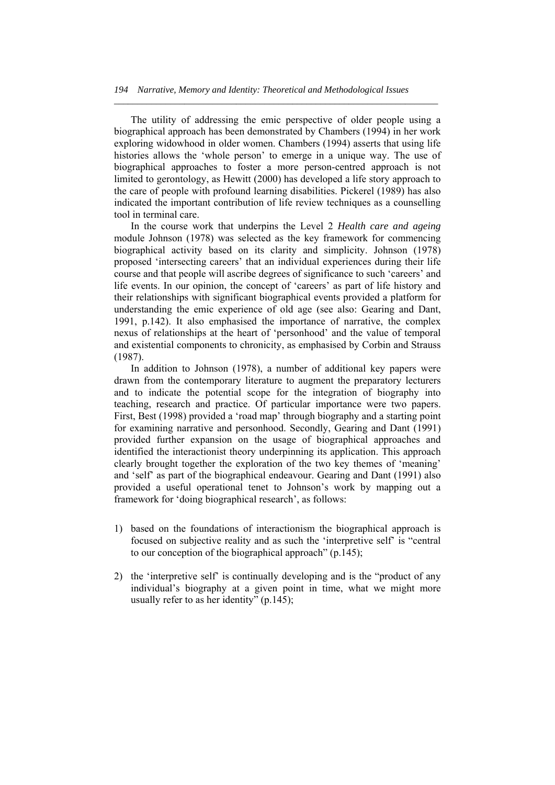The utility of addressing the emic perspective of older people using a biographical approach has been demonstrated by Chambers (1994) in her work exploring widowhood in older women. Chambers (1994) asserts that using life histories allows the 'whole person' to emerge in a unique way. The use of biographical approaches to foster a more person-centred approach is not limited to gerontology, as Hewitt (2000) has developed a life story approach to the care of people with profound learning disabilities. Pickerel (1989) has also indicated the important contribution of life review techniques as a counselling tool in terminal care.

*\_\_\_\_\_\_\_\_\_\_\_\_\_\_\_\_\_\_\_\_\_\_\_\_\_\_\_\_\_\_\_\_\_\_\_\_\_\_\_\_\_\_\_\_\_\_\_\_\_\_\_\_\_\_\_\_\_\_\_\_\_\_\_\_\_\_\_\_\_* 

 In the course work that underpins the Level 2 *Health care and ageing* module Johnson (1978) was selected as the key framework for commencing biographical activity based on its clarity and simplicity. Johnson (1978) proposed 'intersecting careers' that an individual experiences during their life course and that people will ascribe degrees of significance to such 'careers' and life events. In our opinion, the concept of 'careers' as part of life history and their relationships with significant biographical events provided a platform for understanding the emic experience of old age (see also: Gearing and Dant, 1991, p.142). It also emphasised the importance of narrative, the complex nexus of relationships at the heart of 'personhood' and the value of temporal and existential components to chronicity, as emphasised by Corbin and Strauss (1987).

 In addition to Johnson (1978), a number of additional key papers were drawn from the contemporary literature to augment the preparatory lecturers and to indicate the potential scope for the integration of biography into teaching, research and practice. Of particular importance were two papers. First, Best (1998) provided a 'road map' through biography and a starting point for examining narrative and personhood. Secondly, Gearing and Dant (1991) provided further expansion on the usage of biographical approaches and identified the interactionist theory underpinning its application. This approach clearly brought together the exploration of the two key themes of 'meaning' and 'self' as part of the biographical endeavour. Gearing and Dant (1991) also provided a useful operational tenet to Johnson's work by mapping out a framework for 'doing biographical research', as follows:

- 1) based on the foundations of interactionism the biographical approach is focused on subjective reality and as such the 'interpretive self' is "central to our conception of the biographical approach" (p.145);
- 2) the 'interpretive self' is continually developing and is the "product of any individual's biography at a given point in time, what we might more usually refer to as her identity" (p.145);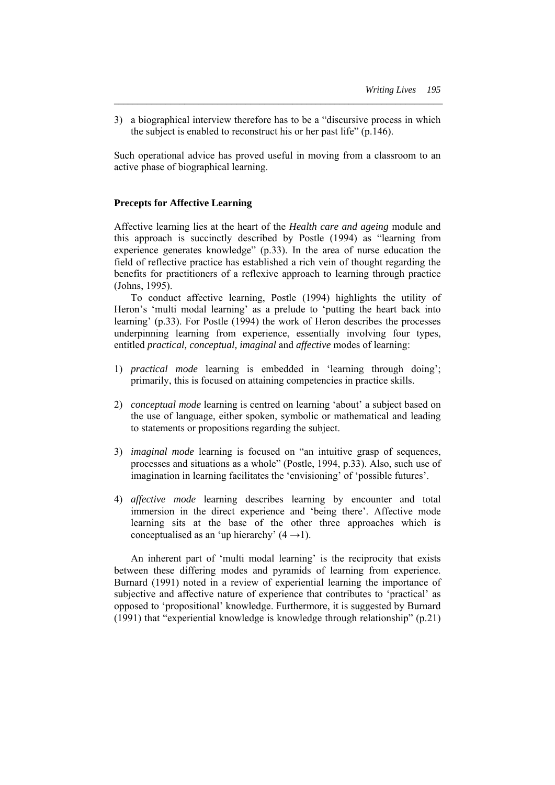3) a biographical interview therefore has to be a "discursive process in which the subject is enabled to reconstruct his or her past life" (p.146).

*\_\_\_\_\_\_\_\_\_\_\_\_\_\_\_\_\_\_\_\_\_\_\_\_\_\_\_\_\_\_\_\_\_\_\_\_\_\_\_\_\_\_\_\_\_\_\_\_\_\_\_\_\_\_\_\_\_\_\_\_\_\_\_\_\_\_\_\_\_\_* 

Such operational advice has proved useful in moving from a classroom to an active phase of biographical learning.

#### **Precepts for Affective Learning**

Affective learning lies at the heart of the *Health care and ageing* module and this approach is succinctly described by Postle (1994) as "learning from experience generates knowledge" (p.33). In the area of nurse education the field of reflective practice has established a rich vein of thought regarding the benefits for practitioners of a reflexive approach to learning through practice (Johns, 1995).

 To conduct affective learning, Postle (1994) highlights the utility of Heron's 'multi modal learning' as a prelude to 'putting the heart back into learning' (p.33). For Postle (1994) the work of Heron describes the processes underpinning learning from experience, essentially involving four types, entitled *practical, conceptual, imaginal* and *affective* modes of learning:

- 1) *practical mode* learning is embedded in 'learning through doing'; primarily, this is focused on attaining competencies in practice skills.
- 2) *conceptual mode* learning is centred on learning 'about' a subject based on the use of language, either spoken, symbolic or mathematical and leading to statements or propositions regarding the subject.
- 3) *imaginal mode* learning is focused on "an intuitive grasp of sequences, processes and situations as a whole" (Postle, 1994, p.33). Also, such use of imagination in learning facilitates the 'envisioning' of 'possible futures'.
- 4) *affective mode* learning describes learning by encounter and total immersion in the direct experience and 'being there'. Affective mode learning sits at the base of the other three approaches which is conceptualised as an 'up hierarchy'  $(4 \rightarrow 1)$ .

 An inherent part of 'multi modal learning' is the reciprocity that exists between these differing modes and pyramids of learning from experience. Burnard (1991) noted in a review of experiential learning the importance of subjective and affective nature of experience that contributes to 'practical' as opposed to 'propositional' knowledge. Furthermore, it is suggested by Burnard (1991) that "experiential knowledge is knowledge through relationship" (p.21)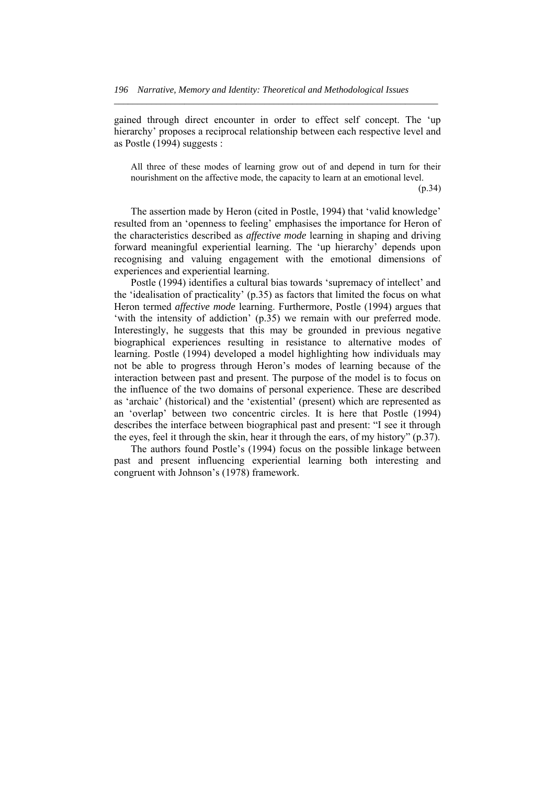gained through direct encounter in order to effect self concept. The 'up hierarchy' proposes a reciprocal relationship between each respective level and as Postle (1994) suggests :

*\_\_\_\_\_\_\_\_\_\_\_\_\_\_\_\_\_\_\_\_\_\_\_\_\_\_\_\_\_\_\_\_\_\_\_\_\_\_\_\_\_\_\_\_\_\_\_\_\_\_\_\_\_\_\_\_\_\_\_\_\_\_\_\_\_\_\_\_\_* 

All three of these modes of learning grow out of and depend in turn for their nourishment on the affective mode, the capacity to learn at an emotional level.

 $(p.34)$ 

 The assertion made by Heron (cited in Postle, 1994) that 'valid knowledge' resulted from an 'openness to feeling' emphasises the importance for Heron of the characteristics described as *affective mode* learning in shaping and driving forward meaningful experiential learning. The 'up hierarchy' depends upon recognising and valuing engagement with the emotional dimensions of experiences and experiential learning.

 Postle (1994) identifies a cultural bias towards 'supremacy of intellect' and the 'idealisation of practicality' (p.35) as factors that limited the focus on what Heron termed *affective mode* learning. Furthermore, Postle (1994) argues that 'with the intensity of addiction' (p.35) we remain with our preferred mode. Interestingly, he suggests that this may be grounded in previous negative biographical experiences resulting in resistance to alternative modes of learning. Postle (1994) developed a model highlighting how individuals may not be able to progress through Heron's modes of learning because of the interaction between past and present. The purpose of the model is to focus on the influence of the two domains of personal experience. These are described as 'archaic' (historical) and the 'existential' (present) which are represented as an 'overlap' between two concentric circles. It is here that Postle (1994) describes the interface between biographical past and present: "I see it through the eyes, feel it through the skin, hear it through the ears, of my history" (p.37).

 The authors found Postle's (1994) focus on the possible linkage between past and present influencing experiential learning both interesting and congruent with Johnson's (1978) framework.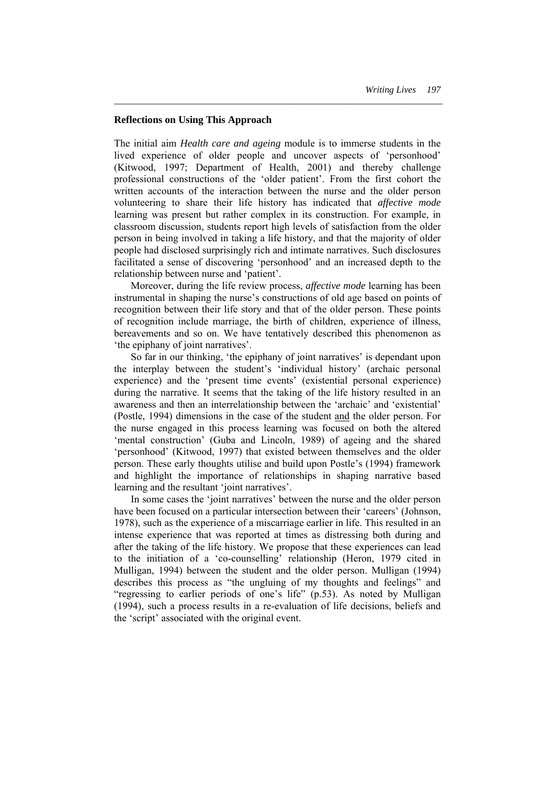#### **Reflections on Using This Approach**

The initial aim *Health care and ageing* module is to immerse students in the lived experience of older people and uncover aspects of 'personhood' (Kitwood, 1997; Department of Health, 2001) and thereby challenge professional constructions of the 'older patient'. From the first cohort the written accounts of the interaction between the nurse and the older person volunteering to share their life history has indicated that *affective mode* learning was present but rather complex in its construction. For example, in classroom discussion, students report high levels of satisfaction from the older person in being involved in taking a life history, and that the majority of older people had disclosed surprisingly rich and intimate narratives. Such disclosures facilitated a sense of discovering 'personhood' and an increased depth to the relationship between nurse and 'patient'.

*\_\_\_\_\_\_\_\_\_\_\_\_\_\_\_\_\_\_\_\_\_\_\_\_\_\_\_\_\_\_\_\_\_\_\_\_\_\_\_\_\_\_\_\_\_\_\_\_\_\_\_\_\_\_\_\_\_\_\_\_\_\_\_\_\_\_\_\_\_\_* 

 Moreover, during the life review process, *affective mode* learning has been instrumental in shaping the nurse's constructions of old age based on points of recognition between their life story and that of the older person. These points of recognition include marriage, the birth of children, experience of illness, bereavements and so on. We have tentatively described this phenomenon as 'the epiphany of joint narratives'.

 So far in our thinking, 'the epiphany of joint narratives' is dependant upon the interplay between the student's 'individual history' (archaic personal experience) and the 'present time events' (existential personal experience) during the narrative. It seems that the taking of the life history resulted in an awareness and then an interrelationship between the 'archaic' and 'existential' (Postle, 1994) dimensions in the case of the student and the older person. For the nurse engaged in this process learning was focused on both the altered 'mental construction' (Guba and Lincoln, 1989) of ageing and the shared 'personhood' (Kitwood, 1997) that existed between themselves and the older person. These early thoughts utilise and build upon Postle's (1994) framework and highlight the importance of relationships in shaping narrative based learning and the resultant 'joint narratives'.

 In some cases the 'joint narratives' between the nurse and the older person have been focused on a particular intersection between their 'careers' (Johnson, 1978), such as the experience of a miscarriage earlier in life. This resulted in an intense experience that was reported at times as distressing both during and after the taking of the life history. We propose that these experiences can lead to the initiation of a 'co-counselling' relationship (Heron, 1979 cited in Mulligan, 1994) between the student and the older person. Mulligan (1994) describes this process as "the ungluing of my thoughts and feelings" and "regressing to earlier periods of one's life" (p.53). As noted by Mulligan (1994), such a process results in a re-evaluation of life decisions, beliefs and the 'script' associated with the original event.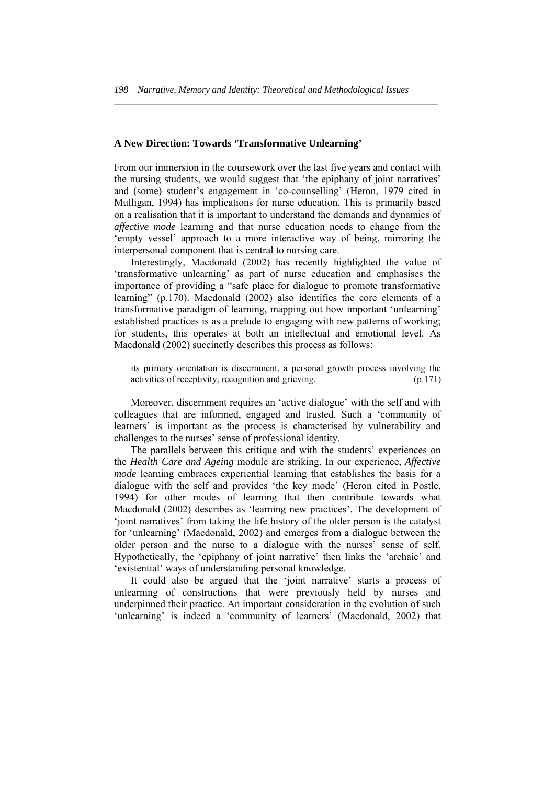*\_\_\_\_\_\_\_\_\_\_\_\_\_\_\_\_\_\_\_\_\_\_\_\_\_\_\_\_\_\_\_\_\_\_\_\_\_\_\_\_\_\_\_\_\_\_\_\_\_\_\_\_\_\_\_\_\_\_\_\_\_\_\_\_\_\_\_\_\_* 

#### **A New Direction: Towards 'Transformative Unlearning'**

From our immersion in the coursework over the last five years and contact with the nursing students, we would suggest that 'the epiphany of joint narratives' and (some) student's engagement in 'co-counselling' (Heron, 1979 cited in Mulligan, 1994) has implications for nurse education. This is primarily based on a realisation that it is important to understand the demands and dynamics of *affective mode* learning and that nurse education needs to change from the 'empty vessel' approach to a more interactive way of being, mirroring the interpersonal component that is central to nursing care.

 Interestingly, Macdonald (2002) has recently highlighted the value of 'transformative unlearning' as part of nurse education and emphasises the importance of providing a "safe place for dialogue to promote transformative learning" (p.170). Macdonald (2002) also identifies the core elements of a transformative paradigm of learning, mapping out how important 'unlearning' established practices is as a prelude to engaging with new patterns of working; for students, this operates at both an intellectual and emotional level. As Macdonald (2002) succinctly describes this process as follows:

its primary orientation is discernment, a personal growth process involving the activities of receptivity, recognition and grieving. (p.171)

 Moreover, discernment requires an 'active dialogue' with the self and with colleagues that are informed, engaged and trusted. Such a 'community of learners' is important as the process is characterised by vulnerability and challenges to the nurses' sense of professional identity.

 The parallels between this critique and with the students' experiences on the *Health Care and Ageing* module are striking. In our experience, *Affective mode* learning embraces experiential learning that establishes the basis for a dialogue with the self and provides 'the key mode' (Heron cited in Postle, 1994) for other modes of learning that then contribute towards what Macdonald (2002) describes as 'learning new practices'. The development of 'joint narratives' from taking the life history of the older person is the catalyst for 'unlearning' (Macdonald, 2002) and emerges from a dialogue between the older person and the nurse to a dialogue with the nurses' sense of self. Hypothetically, the 'epiphany of joint narrative' then links the 'archaic' and 'existential' ways of understanding personal knowledge.

 It could also be argued that the 'joint narrative' starts a process of unlearning of constructions that were previously held by nurses and underpinned their practice. An important consideration in the evolution of such 'unlearning' is indeed a 'community of learners' (Macdonald, 2002) that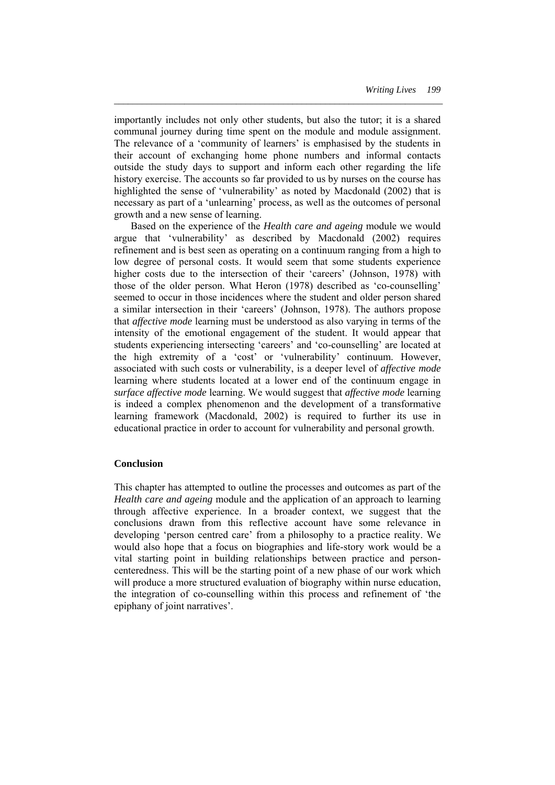importantly includes not only other students, but also the tutor; it is a shared communal journey during time spent on the module and module assignment. The relevance of a 'community of learners' is emphasised by the students in their account of exchanging home phone numbers and informal contacts outside the study days to support and inform each other regarding the life history exercise. The accounts so far provided to us by nurses on the course has highlighted the sense of 'vulnerability' as noted by Macdonald (2002) that is necessary as part of a 'unlearning' process, as well as the outcomes of personal growth and a new sense of learning.

*\_\_\_\_\_\_\_\_\_\_\_\_\_\_\_\_\_\_\_\_\_\_\_\_\_\_\_\_\_\_\_\_\_\_\_\_\_\_\_\_\_\_\_\_\_\_\_\_\_\_\_\_\_\_\_\_\_\_\_\_\_\_\_\_\_\_\_\_\_\_* 

 Based on the experience of the *Health care and ageing* module we would argue that 'vulnerability' as described by Macdonald (2002) requires refinement and is best seen as operating on a continuum ranging from a high to low degree of personal costs. It would seem that some students experience higher costs due to the intersection of their 'careers' (Johnson, 1978) with those of the older person. What Heron (1978) described as 'co-counselling' seemed to occur in those incidences where the student and older person shared a similar intersection in their 'careers' (Johnson, 1978). The authors propose that *affective mode* learning must be understood as also varying in terms of the intensity of the emotional engagement of the student. It would appear that students experiencing intersecting 'careers' and 'co-counselling' are located at the high extremity of a 'cost' or 'vulnerability' continuum. However, associated with such costs or vulnerability, is a deeper level of *affective mode* learning where students located at a lower end of the continuum engage in *surface affective mode* learning. We would suggest that *affective mode* learning is indeed a complex phenomenon and the development of a transformative learning framework (Macdonald, 2002) is required to further its use in educational practice in order to account for vulnerability and personal growth.

#### **Conclusion**

This chapter has attempted to outline the processes and outcomes as part of the *Health care and ageing* module and the application of an approach to learning through affective experience. In a broader context, we suggest that the conclusions drawn from this reflective account have some relevance in developing 'person centred care' from a philosophy to a practice reality. We would also hope that a focus on biographies and life-story work would be a vital starting point in building relationships between practice and personcenteredness. This will be the starting point of a new phase of our work which will produce a more structured evaluation of biography within nurse education, the integration of co-counselling within this process and refinement of 'the epiphany of joint narratives'.